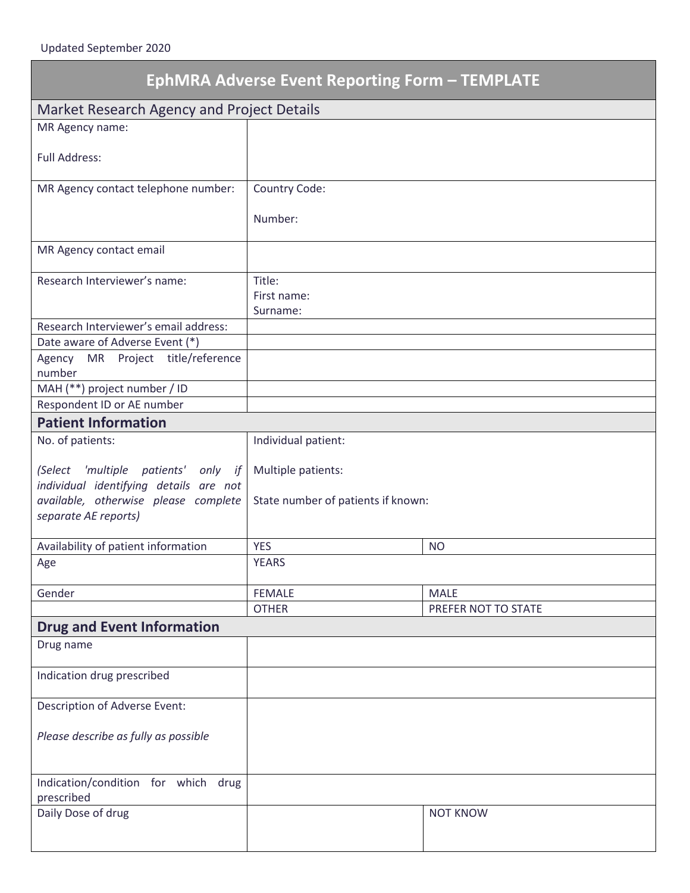| <b>EphMRA Adverse Event Reporting Form - TEMPLATE</b>                                                                                         |                                                          |                     |
|-----------------------------------------------------------------------------------------------------------------------------------------------|----------------------------------------------------------|---------------------|
| Market Research Agency and Project Details                                                                                                    |                                                          |                     |
| MR Agency name:                                                                                                                               |                                                          |                     |
| <b>Full Address:</b>                                                                                                                          |                                                          |                     |
| MR Agency contact telephone number:                                                                                                           | Country Code:                                            |                     |
|                                                                                                                                               | Number:                                                  |                     |
| MR Agency contact email                                                                                                                       |                                                          |                     |
| Research Interviewer's name:                                                                                                                  | Title:<br>First name:<br>Surname:                        |                     |
| Research Interviewer's email address:                                                                                                         |                                                          |                     |
| Date aware of Adverse Event (*)                                                                                                               |                                                          |                     |
| MR Project title/reference<br>Agency<br>number                                                                                                |                                                          |                     |
| MAH (**) project number / ID                                                                                                                  |                                                          |                     |
| Respondent ID or AE number                                                                                                                    |                                                          |                     |
| <b>Patient Information</b>                                                                                                                    |                                                          |                     |
| No. of patients:                                                                                                                              | Individual patient:                                      |                     |
| (Select 'multiple patients' only if<br>individual identifying details are not<br>available, otherwise please complete<br>separate AE reports) | Multiple patients:<br>State number of patients if known: |                     |
| Availability of patient information                                                                                                           | <b>YES</b>                                               | <b>NO</b>           |
| Age                                                                                                                                           | <b>YEARS</b>                                             |                     |
| Gender                                                                                                                                        | <b>FEMALE</b>                                            | <b>MALE</b>         |
|                                                                                                                                               | <b>OTHER</b>                                             | PREFER NOT TO STATE |
| <b>Drug and Event Information</b>                                                                                                             |                                                          |                     |
| Drug name                                                                                                                                     |                                                          |                     |
| Indication drug prescribed                                                                                                                    |                                                          |                     |
| Description of Adverse Event:                                                                                                                 |                                                          |                     |
| Please describe as fully as possible                                                                                                          |                                                          |                     |
| Indication/condition for which drug<br>prescribed                                                                                             |                                                          |                     |
| Daily Dose of drug                                                                                                                            |                                                          | <b>NOT KNOW</b>     |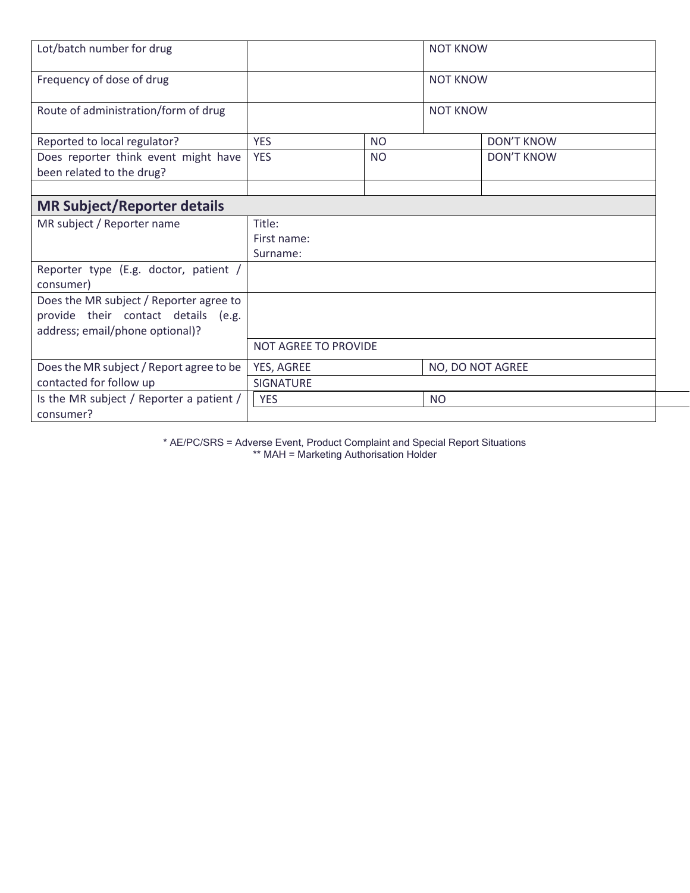| Lot/batch number for drug                                                                                         |                                   |               | <b>NOT KNOW</b>  |                   |
|-------------------------------------------------------------------------------------------------------------------|-----------------------------------|---------------|------------------|-------------------|
| Frequency of dose of drug                                                                                         |                                   |               | <b>NOT KNOW</b>  |                   |
| Route of administration/form of drug                                                                              |                                   |               | <b>NOT KNOW</b>  |                   |
| Reported to local regulator?                                                                                      | <b>YES</b>                        | <b>NO</b>     |                  | <b>DON'T KNOW</b> |
| Does reporter think event might have<br>been related to the drug?                                                 | <b>YES</b>                        | <sub>NO</sub> |                  | <b>DON'T KNOW</b> |
|                                                                                                                   |                                   |               |                  |                   |
| <b>MR Subject/Reporter details</b>                                                                                |                                   |               |                  |                   |
| MR subject / Reporter name                                                                                        | Title:<br>First name:<br>Surname: |               |                  |                   |
| Reporter type (E.g. doctor, patient /<br>consumer)                                                                |                                   |               |                  |                   |
| Does the MR subject / Reporter agree to<br>provide their contact details (e.g.<br>address; email/phone optional)? |                                   |               |                  |                   |
|                                                                                                                   | NOT AGREE TO PROVIDE              |               |                  |                   |
| Does the MR subject / Report agree to be<br>contacted for follow up                                               | YES, AGREE<br>SIGNATURE           |               | NO, DO NOT AGREE |                   |
| Is the MR subject / Reporter a patient /                                                                          | <b>YES</b>                        |               | <b>NO</b>        |                   |
| consumer?                                                                                                         |                                   |               |                  |                   |

\* AE/PC/SRS = Adverse Event, Product Complaint and Special Report Situations \*\* MAH = Marketing Authorisation Holder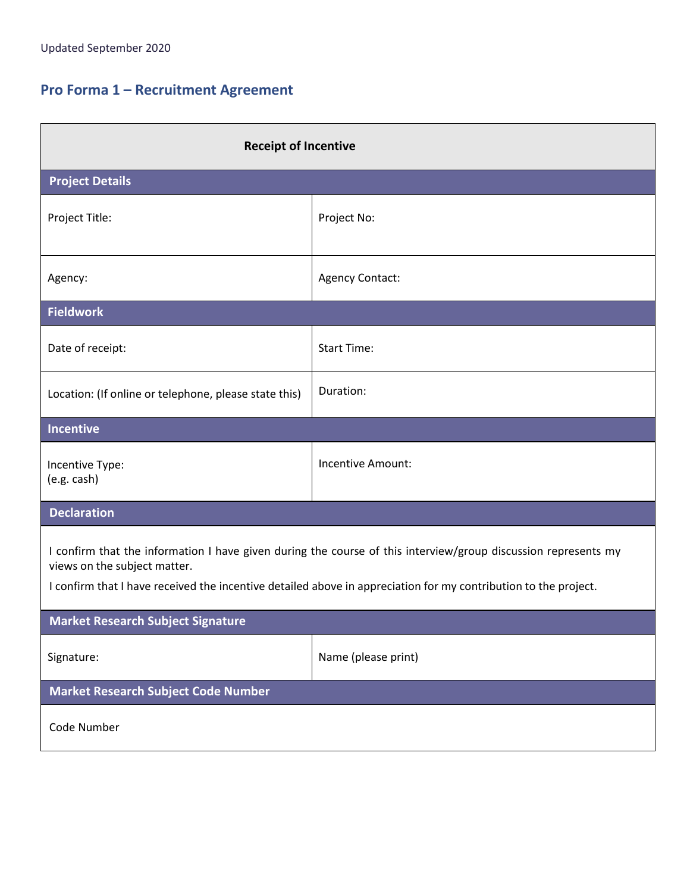# **Pro Forma 1 – Recruitment Agreement**

| <b>Receipt of Incentive</b>                                                                                                                                                                                                                                       |                     |  |
|-------------------------------------------------------------------------------------------------------------------------------------------------------------------------------------------------------------------------------------------------------------------|---------------------|--|
| <b>Project Details</b>                                                                                                                                                                                                                                            |                     |  |
| Project Title:                                                                                                                                                                                                                                                    | Project No:         |  |
| Agency:                                                                                                                                                                                                                                                           | Agency Contact:     |  |
| <b>Fieldwork</b>                                                                                                                                                                                                                                                  |                     |  |
| Date of receipt:                                                                                                                                                                                                                                                  | <b>Start Time:</b>  |  |
| Location: (If online or telephone, please state this)                                                                                                                                                                                                             | Duration:           |  |
| Incentive                                                                                                                                                                                                                                                         |                     |  |
| Incentive Type:<br>(e.g. cash)                                                                                                                                                                                                                                    | Incentive Amount:   |  |
| <b>Declaration</b>                                                                                                                                                                                                                                                |                     |  |
| I confirm that the information I have given during the course of this interview/group discussion represents my<br>views on the subject matter.<br>I confirm that I have received the incentive detailed above in appreciation for my contribution to the project. |                     |  |
| <b>Market Research Subject Signature</b>                                                                                                                                                                                                                          |                     |  |
| Signature:                                                                                                                                                                                                                                                        | Name (please print) |  |
| Market Research Subject Code Number                                                                                                                                                                                                                               |                     |  |
| Code Number                                                                                                                                                                                                                                                       |                     |  |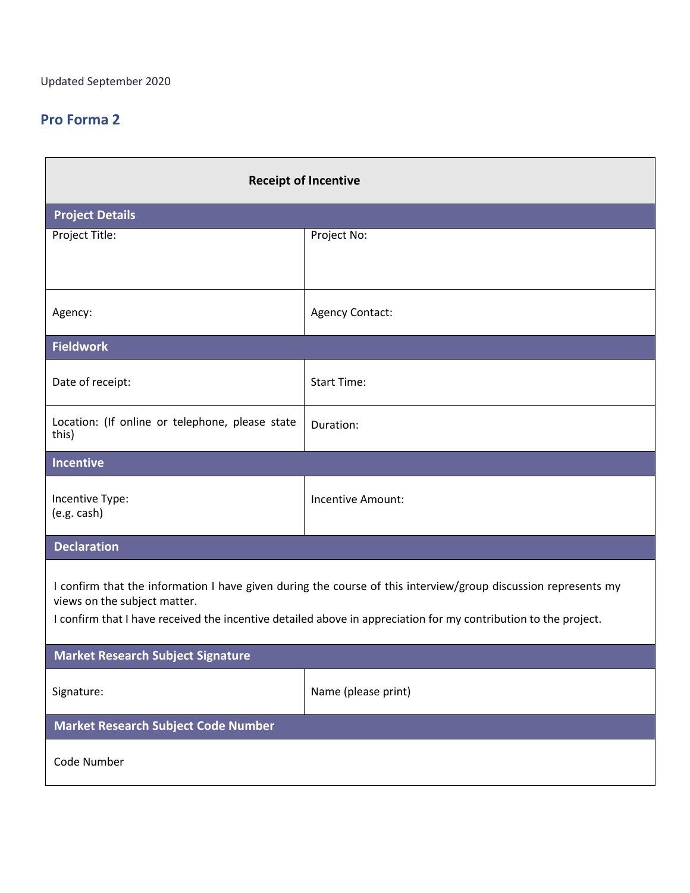| <b>Receipt of Incentive</b>                                                                                                                                                                                                                                       |                     |  |
|-------------------------------------------------------------------------------------------------------------------------------------------------------------------------------------------------------------------------------------------------------------------|---------------------|--|
| <b>Project Details</b>                                                                                                                                                                                                                                            |                     |  |
| Project Title:                                                                                                                                                                                                                                                    | Project No:         |  |
| Agency:                                                                                                                                                                                                                                                           | Agency Contact:     |  |
| <b>Fieldwork</b>                                                                                                                                                                                                                                                  |                     |  |
| Date of receipt:                                                                                                                                                                                                                                                  | <b>Start Time:</b>  |  |
| Location: (If online or telephone, please state<br>this)                                                                                                                                                                                                          | Duration:           |  |
| Incentive                                                                                                                                                                                                                                                         |                     |  |
| Incentive Type:<br>(e.g. cash)                                                                                                                                                                                                                                    | Incentive Amount:   |  |
| <b>Declaration</b>                                                                                                                                                                                                                                                |                     |  |
| I confirm that the information I have given during the course of this interview/group discussion represents my<br>views on the subject matter.<br>I confirm that I have received the incentive detailed above in appreciation for my contribution to the project. |                     |  |
| <b>Market Research Subject Signature</b>                                                                                                                                                                                                                          |                     |  |
| Signature:                                                                                                                                                                                                                                                        | Name (please print) |  |
| Market Research Subject Code Number                                                                                                                                                                                                                               |                     |  |
| Code Number                                                                                                                                                                                                                                                       |                     |  |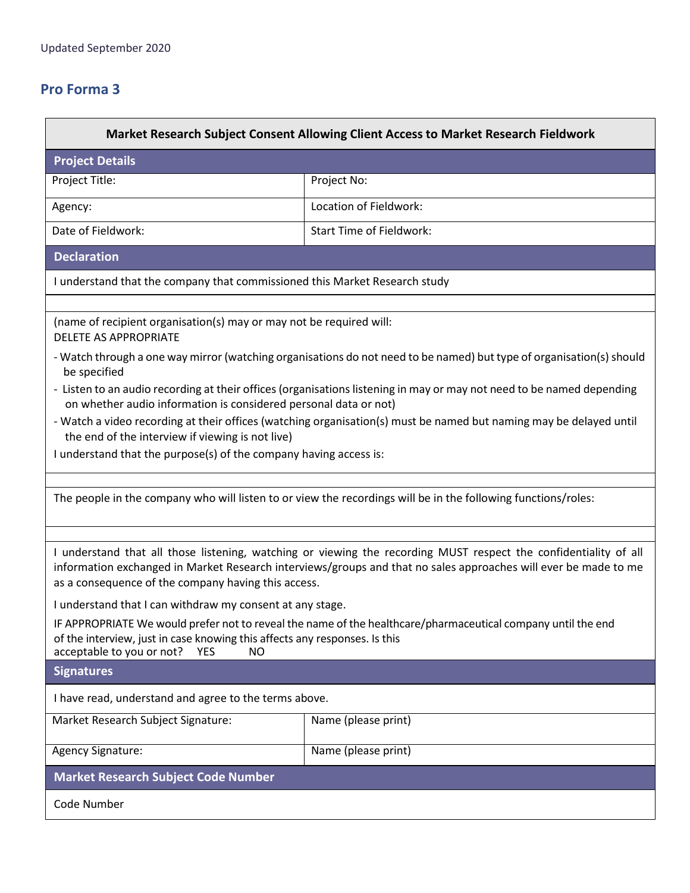| Market Research Subject Consent Allowing Client Access to Market Research Fieldwork                                                                                                                                                                                                        |                                                                                                                    |  |
|--------------------------------------------------------------------------------------------------------------------------------------------------------------------------------------------------------------------------------------------------------------------------------------------|--------------------------------------------------------------------------------------------------------------------|--|
| <b>Project Details</b>                                                                                                                                                                                                                                                                     |                                                                                                                    |  |
| Project Title:                                                                                                                                                                                                                                                                             | Project No:                                                                                                        |  |
| Agency:                                                                                                                                                                                                                                                                                    | Location of Fieldwork:                                                                                             |  |
| Date of Fieldwork:                                                                                                                                                                                                                                                                         | <b>Start Time of Fieldwork:</b>                                                                                    |  |
| <b>Declaration</b>                                                                                                                                                                                                                                                                         |                                                                                                                    |  |
| I understand that the company that commissioned this Market Research study                                                                                                                                                                                                                 |                                                                                                                    |  |
| (name of recipient organisation(s) may or may not be required will:<br><b>DELETE AS APPROPRIATE</b>                                                                                                                                                                                        |                                                                                                                    |  |
| - Watch through a one way mirror (watching organisations do not need to be named) but type of organisation(s) should<br>be specified                                                                                                                                                       |                                                                                                                    |  |
| - Listen to an audio recording at their offices (organisations listening in may or may not need to be named depending<br>on whether audio information is considered personal data or not)                                                                                                  |                                                                                                                    |  |
| the end of the interview if viewing is not live)                                                                                                                                                                                                                                           | - Watch a video recording at their offices (watching organisation(s) must be named but naming may be delayed until |  |
| I understand that the purpose(s) of the company having access is:                                                                                                                                                                                                                          |                                                                                                                    |  |
|                                                                                                                                                                                                                                                                                            | The people in the company who will listen to or view the recordings will be in the following functions/roles:      |  |
| I understand that all those listening, watching or viewing the recording MUST respect the confidentiality of all<br>information exchanged in Market Research interviews/groups and that no sales approaches will ever be made to me<br>as a consequence of the company having this access. |                                                                                                                    |  |
| I understand that I can withdraw my consent at any stage.                                                                                                                                                                                                                                  |                                                                                                                    |  |
| IF APPROPRIATE We would prefer not to reveal the name of the healthcare/pharmaceutical company until the end<br>of the interview, just in case knowing this affects any responses. Is this<br>acceptable to you or not?<br><b>YES</b><br><b>NO</b>                                         |                                                                                                                    |  |
| <b>Signatures</b>                                                                                                                                                                                                                                                                          |                                                                                                                    |  |
| I have read, understand and agree to the terms above.                                                                                                                                                                                                                                      |                                                                                                                    |  |
| Market Research Subject Signature:                                                                                                                                                                                                                                                         | Name (please print)                                                                                                |  |
| Agency Signature:                                                                                                                                                                                                                                                                          | Name (please print)                                                                                                |  |
| <b>Market Research Subject Code Number</b>                                                                                                                                                                                                                                                 |                                                                                                                    |  |
| Code Number                                                                                                                                                                                                                                                                                |                                                                                                                    |  |
|                                                                                                                                                                                                                                                                                            |                                                                                                                    |  |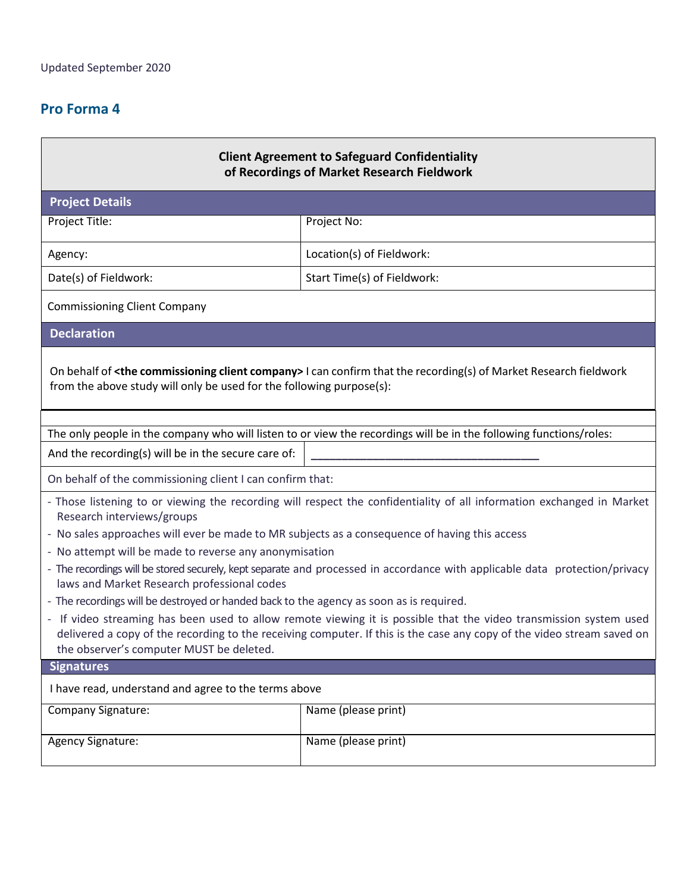| <b>Client Agreement to Safeguard Confidentiality</b><br>of Recordings of Market Research Fieldwork                                                                                                                                                                                      |                                                                                                                    |  |
|-----------------------------------------------------------------------------------------------------------------------------------------------------------------------------------------------------------------------------------------------------------------------------------------|--------------------------------------------------------------------------------------------------------------------|--|
| <b>Project Details</b>                                                                                                                                                                                                                                                                  |                                                                                                                    |  |
| Project Title:                                                                                                                                                                                                                                                                          | Project No:                                                                                                        |  |
| Agency:                                                                                                                                                                                                                                                                                 | Location(s) of Fieldwork:                                                                                          |  |
| Date(s) of Fieldwork:                                                                                                                                                                                                                                                                   | Start Time(s) of Fieldwork:                                                                                        |  |
| <b>Commissioning Client Company</b>                                                                                                                                                                                                                                                     |                                                                                                                    |  |
| <b>Declaration</b>                                                                                                                                                                                                                                                                      |                                                                                                                    |  |
| On behalf of <the client="" commissioning="" company=""> I can confirm that the recording(s) of Market Research fieldwork<br/>from the above study will only be used for the following purpose(s):</the>                                                                                |                                                                                                                    |  |
|                                                                                                                                                                                                                                                                                         | The only people in the company who will listen to or view the recordings will be in the following functions/roles: |  |
| And the recording(s) will be in the secure care of:                                                                                                                                                                                                                                     |                                                                                                                    |  |
| On behalf of the commissioning client I can confirm that:                                                                                                                                                                                                                               |                                                                                                                    |  |
| - Those listening to or viewing the recording will respect the confidentiality of all information exchanged in Market<br>Research interviews/groups                                                                                                                                     |                                                                                                                    |  |
| - No sales approaches will ever be made to MR subjects as a consequence of having this access<br>- No attempt will be made to reverse any anonymisation                                                                                                                                 |                                                                                                                    |  |
| - The recordings will be stored securely, kept separate and processed in accordance with applicable data protection/privacy<br>laws and Market Research professional codes                                                                                                              |                                                                                                                    |  |
| - The recordings will be destroyed or handed back to the agency as soon as is required.                                                                                                                                                                                                 |                                                                                                                    |  |
| - If video streaming has been used to allow remote viewing it is possible that the video transmission system used<br>delivered a copy of the recording to the receiving computer. If this is the case any copy of the video stream saved on<br>the observer's computer MUST be deleted. |                                                                                                                    |  |
| <b>Signatures</b>                                                                                                                                                                                                                                                                       |                                                                                                                    |  |
| I have read, understand and agree to the terms above                                                                                                                                                                                                                                    |                                                                                                                    |  |
| <b>Company Signature:</b>                                                                                                                                                                                                                                                               | Name (please print)                                                                                                |  |
| <b>Agency Signature:</b>                                                                                                                                                                                                                                                                | Name (please print)                                                                                                |  |
|                                                                                                                                                                                                                                                                                         |                                                                                                                    |  |